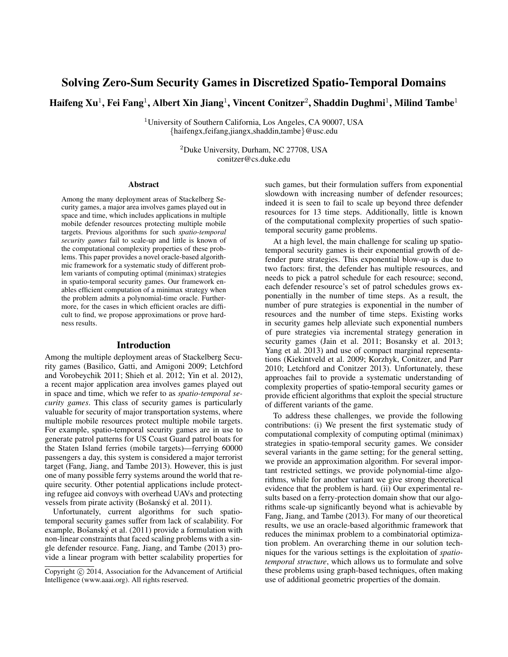# Solving Zero-Sum Security Games in Discretized Spatio-Temporal Domains

Haifeng Xu $^1$ , Fei Fang $^1$ , Albert Xin Jiang $^1$ , Vincent Conitzer $^2$ , Shaddin Dughmi $^1$ , Milind Tambe $^1$ 

<sup>1</sup>University of Southern California, Los Angeles, CA 90007, USA {haifengx,feifang,jiangx,shaddin,tambe}@usc.edu

> <sup>2</sup>Duke University, Durham, NC 27708, USA conitzer@cs.duke.edu

#### Abstract

Among the many deployment areas of Stackelberg Security games, a major area involves games played out in space and time, which includes applications in multiple mobile defender resources protecting multiple mobile targets. Previous algorithms for such *spatio-temporal security games* fail to scale-up and little is known of the computational complexity properties of these problems. This paper provides a novel oracle-based algorithmic framework for a systematic study of different problem variants of computing optimal (minimax) strategies in spatio-temporal security games. Our framework enables efficient computation of a minimax strategy when the problem admits a polynomial-time oracle. Furthermore, for the cases in which efficient oracles are difficult to find, we propose approximations or prove hardness results.

#### Introduction

Among the multiple deployment areas of Stackelberg Security games (Basilico, Gatti, and Amigoni 2009; Letchford and Vorobeychik 2011; Shieh et al. 2012; Yin et al. 2012), a recent major application area involves games played out in space and time, which we refer to as *spatio-temporal security games*. This class of security games is particularly valuable for security of major transportation systems, where multiple mobile resources protect multiple mobile targets. For example, spatio-temporal security games are in use to generate patrol patterns for US Coast Guard patrol boats for the Staten Island ferries (mobile targets)—ferrying 60000 passengers a day, this system is considered a major terrorist target (Fang, Jiang, and Tambe 2013). However, this is just one of many possible ferry systems around the world that require security. Other potential applications include protecting refugee aid convoys with overhead UAVs and protecting vessels from pirate activity (Bošanský et al. 2011).

Unfortunately, current algorithms for such spatiotemporal security games suffer from lack of scalability. For example, Bošanský et al. (2011) provide a formulation with non-linear constraints that faced scaling problems with a single defender resource. Fang, Jiang, and Tambe (2013) provide a linear program with better scalability properties for

such games, but their formulation suffers from exponential slowdown with increasing number of defender resources; indeed it is seen to fail to scale up beyond three defender resources for 13 time steps. Additionally, little is known of the computational complexity properties of such spatiotemporal security game problems.

At a high level, the main challenge for scaling up spatiotemporal security games is their exponential growth of defender pure strategies. This exponential blow-up is due to two factors: first, the defender has multiple resources, and needs to pick a patrol schedule for each resource; second, each defender resource's set of patrol schedules grows exponentially in the number of time steps. As a result, the number of pure strategies is exponential in the number of resources and the number of time steps. Existing works in security games help alleviate such exponential numbers of pure strategies via incremental strategy generation in security games (Jain et al. 2011; Bosansky et al. 2013; Yang et al. 2013) and use of compact marginal representations (Kiekintveld et al. 2009; Korzhyk, Conitzer, and Parr 2010; Letchford and Conitzer 2013). Unfortunately, these approaches fail to provide a systematic understanding of complexity properties of spatio-temporal security games or provide efficient algorithms that exploit the special structure of different variants of the game.

To address these challenges, we provide the following contributions: (i) We present the first systematic study of computational complexity of computing optimal (minimax) strategies in spatio-temporal security games. We consider several variants in the game setting; for the general setting, we provide an approximation algorithm. For several important restricted settings, we provide polynomial-time algorithms, while for another variant we give strong theoretical evidence that the problem is hard. (ii) Our experimental results based on a ferry-protection domain show that our algorithms scale-up significantly beyond what is achievable by Fang, Jiang, and Tambe (2013). For many of our theoretical results, we use an oracle-based algorithmic framework that reduces the minimax problem to a combinatorial optimization problem. An overarching theme in our solution techniques for the various settings is the exploitation of *spatiotemporal structure*, which allows us to formulate and solve these problems using graph-based techniques, often making use of additional geometric properties of the domain.

Copyright (c) 2014, Association for the Advancement of Artificial Intelligence (www.aaai.org). All rights reserved.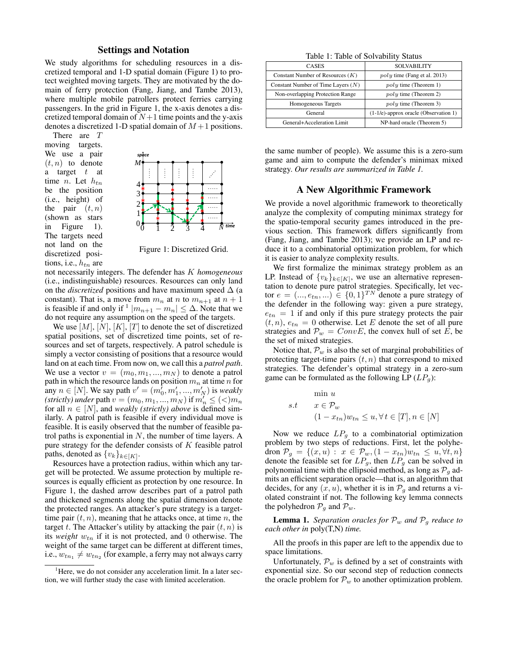## Settings and Notation

We study algorithms for scheduling resources in a discretized temporal and 1-D spatial domain (Figure 1) to protect weighted moving targets. They are motivated by the domain of ferry protection (Fang, Jiang, and Tambe 2013), where multiple mobile patrollers protect ferries carrying passengers. In the grid in Figure 1, the x-axis denotes a discretized temporal domain of  $N+1$  time points and the y-axis denotes a discretized 1-D spatial domain of  $M+1$  positions.

There are T moving targets. We use a pair  $(t, n)$  to denote a target  $t$  at time *n*. Let  $h_{tn}$ be the position (i.e., height) of the pair  $(t, n)$ (shown as stars in Figure 1). The targets need not land on the discretized positions, i.e.,  $h_{tn}$  are



Figure 1: Discretized Grid.

not necessarily integers. The defender has K *homogeneous* (i.e., indistinguishable) resources. Resources can only land on the *discretized* positions and have maximum speed  $\Delta$  (a constant). That is, a move from  $m_n$  at n to  $m_{n+1}$  at  $n+1$ is feasible if and only if  $1 |m_{n+1} - m_n| \leq \Delta$ . Note that we do not require any assumption on the speed of the targets.

We use  $[M], [N], [K], [T]$  to denote the set of discretized spatial positions, set of discretized time points, set of resources and set of targets, respectively. A patrol schedule is simply a vector consisting of positions that a resource would land on at each time. From now on, we call this a *patrol path*. We use a vector  $v = (m_0, m_1, ..., m_N)$  to denote a patrol path in which the resource lands on position  $m_n$  at time n for any  $n \in [N]$ . We say path  $v' = (m'_0, m'_1, ..., m'_N)$  is *weakly (strictly)* under path  $v = (m_0, m_1, ..., m_N)$  if  $m'_n \leq ($ for all  $n \in [N]$ , and *weakly (strictly) above* is defined similarly. A patrol path is feasible if every individual move is feasible. It is easily observed that the number of feasible patrol paths is exponential in  $N$ , the number of time layers. A pure strategy for the defender consists of  $K$  feasible patrol paths, denoted as  $\{v_k\}_{k \in [K]}$ .

Resources have a protection radius, within which any target will be protected. We assume protection by multiple resources is equally efficient as protection by one resource. In Figure 1, the dashed arrow describes part of a patrol path and thickened segments along the spatial dimension denote the protected ranges. An attacker's pure strategy is a targettime pair  $(t, n)$ , meaning that he attacks once, at time n, the target t. The Attacker's utility by attacking the pair  $(t, n)$  is its *weight*  $w_{tn}$  if it is not protected, and 0 otherwise. The weight of the same target can be different at different times, i.e.,  $w_{tn_1} \neq w_{tn_2}$  (for example, a ferry may not always carry

Table 1: Table of Solvability Status

| <b>CASES</b>                         | <b>SOLVABILITY</b>                       |
|--------------------------------------|------------------------------------------|
| Constant Number of Resources $(K)$   | $poly$ time (Fang et al. 2013)           |
| Constant Number of Time Layers $(N)$ | $poly$ time (Theorem 1)                  |
| Non-overlapping Protection Range     | $poly$ time (Theorem 2)                  |
| Homogeneous Targets                  | $poly$ time (Theorem 3)                  |
| General                              | $(1-1/e)$ -approx oracle (Observation 1) |
| General+Acceleration Limit           | NP-hard oracle (Theorem 5)               |

the same number of people). We assume this is a zero-sum game and aim to compute the defender's minimax mixed strategy. *Our results are summarized in Table 1.*

# A New Algorithmic Framework

We provide a novel algorithmic framework to theoretically analyze the complexity of computing minimax strategy for the spatio-temporal security games introduced in the previous section. This framework differs significantly from (Fang, Jiang, and Tambe 2013); we provide an LP and reduce it to a combinatorial optimization problem, for which it is easier to analyze complexity results.

We first formalize the minimax strategy problem as an LP. Instead of  $\{v_k\}_{k \in [K]}$ , we use an alternative representation to denote pure patrol strategies. Specifically, let vector  $e = (..., e_{tn}, ...) \in \{0, 1\}^{TN}$  denote a pure strategy of the defender in the following way: given a pure strategy,  $e_{tn} = 1$  if and only if this pure strategy protects the pair  $(t, n)$ ,  $e_{tn} = 0$  otherwise. Let E denote the set of all pure strategies and  $\mathcal{P}_w = ConvE$ , the convex hull of set E, be the set of mixed strategies.

Notice that,  $\mathcal{P}_w$  is also the set of marginal probabilities of protecting target-time pairs  $(t, n)$  that correspond to mixed strategies. The defender's optimal strategy in a zero-sum game can be formulated as the following LP  $(LP<sub>q</sub>)$ :

$$
\begin{aligned}\n\min u\\ \text{s.t} \quad & x \in \mathcal{P}_w\\
& (1 - x_{tn})w_{tn} \le u, \forall t \in [T], n \in [N]\n\end{aligned}
$$

Now we reduce  $LP<sub>q</sub>$  to a combinatorial optimization problem by two steps of reductions. First, let the polyhedron  $\mathcal{P}_q = \{(x, u) : x \in \mathcal{P}_w, (1 - x_{tn})w_{tn} \leq u, \forall t, n\}$ denote the feasible set for  $LP<sub>g</sub>$ , then  $LP<sub>g</sub>$  can be solved in polynomial time with the ellipsoid method, as long as  $\mathcal{P}_q$  admits an efficient separation oracle—that is, an algorithm that decides, for any  $(x, u)$ , whether it is in  $\mathcal{P}_q$  and returns a violated constraint if not. The following key lemma connects the polyhedron  $\mathcal{P}_q$  and  $\mathcal{P}_w$ .

**Lemma 1.** *Separation oracles for*  $\mathcal{P}_w$  *and*  $\mathcal{P}_q$  *reduce to each other in* poly(T,N) *time.*

All the proofs in this paper are left to the appendix due to space limitations.

Unfortunately,  $\mathcal{P}_{w}$  is defined by a set of constraints with exponential size. So our second step of reduction connects the oracle problem for  $\mathcal{P}_w$  to another optimization problem.

<sup>&</sup>lt;sup>1</sup>Here, we do not consider any acceleration limit. In a later section, we will further study the case with limited acceleration.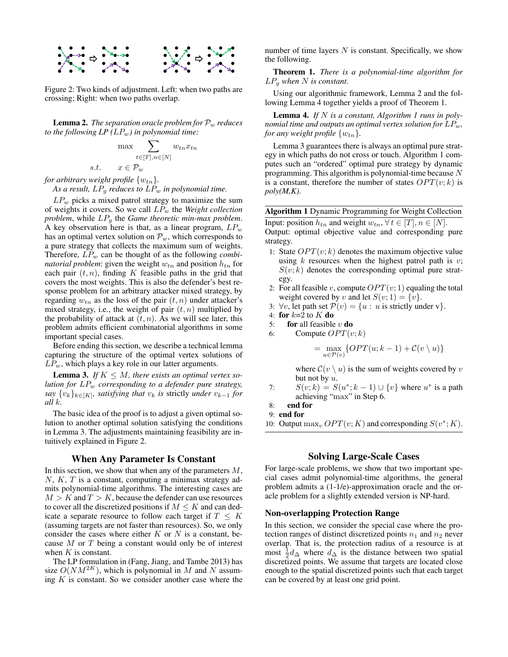

Figure 2: Two kinds of adjustment. Left: when two paths are crossing; Right: when two paths overlap.

**Lemma 2.** *The separation oracle problem for*  $\mathcal{P}_w$  *reduces to the following LP*  $(LP_w)$  *in polynomial time:* 

$$
\max \sum_{t \in [T], n \in [N]} w_{tn} x_{tn}
$$
  
s.t. 
$$
x \in \mathcal{P}_m
$$

*for arbitrary weight profile*  $\{w_{tn}\}.$ 

As a result,  $LP<sub>q</sub>$  *reduces to*  $LP<sub>w</sub>$  *in polynomial time.* 

 $LP_w$  picks a mixed patrol strategy to maximize the sum of weights it covers. So we call LP<sup>w</sup> the *Weight collection problem*, while LP<sup>g</sup> the *Game theoretic min-max problem*. A key observation here is that, as a linear program,  $LP_w$ has an optimal vertex solution on  $\mathcal{P}_w$ , which corresponds to a pure strategy that collects the maximum sum of weights. Therefore,  $LP_w$  can be thought of as the following *combinatorial problem*: given the weight  $w_{tn}$  and position  $h_{tn}$  for each pair  $(t, n)$ , finding K feasible paths in the grid that covers the most weights. This is also the defender's best response problem for an arbitrary attacker mixed strategy, by regarding  $w_{tn}$  as the loss of the pair  $(t, n)$  under attacker's mixed strategy, i.e., the weight of pair  $(t, n)$  multiplied by the probability of attack at  $(t, n)$ . As we will see later, this problem admits efficient combinatorial algorithms in some important special cases.

Before ending this section, we describe a technical lemma capturing the structure of the optimal vertex solutions of  $LP_w$ , which plays a key role in our latter arguments.

**Lemma 3.** If  $K \leq M$ , there exists an optimal vertex so*lution for* LP<sup>w</sup> *corresponding to a defender pure strategy,*  $\{x_k\}_{k\in[K]}$ *, satisfying that*  $v_k$  *is strictly under*  $v_{k-1}$  *for all* k*.*

The basic idea of the proof is to adjust a given optimal solution to another optimal solution satisfying the conditions in Lemma 3. The adjustments maintaining feasibility are intuitively explained in Figure 2.

## When Any Parameter Is Constant

In this section, we show that when any of the parameters  $M$ ,  $N, K, T$  is a constant, computing a minimax strategy admits polynomial-time algorithms. The interesting cases are  $M > K$  and  $T > K$ , because the defender can use resources to cover all the discretized positions if  $M \leq K$  and can dedicate a separate resource to follow each target if  $T \leq K$ (assuming targets are not faster than resources). So, we only consider the cases where either  $K$  or  $N$  is a constant, because  $M$  or  $T$  being a constant would only be of interest when  $K$  is constant.

The LP formulation in (Fang, Jiang, and Tambe 2013) has size  $O(NM^{2K})$ , which is polynomial in M and N assuming  $K$  is constant. So we consider another case where the

number of time layers  $N$  is constant. Specifically, we show the following.

Theorem 1. *There is a polynomial-time algorithm for* LP<sup>g</sup> *when* N *is constant.*

Using our algorithmic framework, Lemma 2 and the following Lemma 4 together yields a proof of Theorem 1.

Lemma 4. *If* N *is a constant, Algorithm 1 runs in polynomial time and outputs an optimal vertex solution for*  $LP_w$ , *for any weight profile*  $\{w_{tn}\}.$ 

Lemma 3 guarantees there is always an optimal pure strategy in which paths do not cross or touch. Algorithm 1 computes such an "ordered" optimal pure strategy by dynamic programming. This algorithm is polynomial-time because N is a constant, therefore the number of states  $OPT(v; k)$  is *poly(M,K)*.

Algorithm 1 Dynamic Programming for Weight Collection Input: position  $h_{tn}$  and weight  $w_{tn}$ ,  $\forall t \in [T], n \in [N]$ .

Output: optimal objective value and corresponding pure strategy.

- 1: State  $OPT(v; k)$  denotes the maximum objective value using  $k$  resources when the highest patrol path is  $v$ ;  $S(v; k)$  denotes the corresponding optimal pure strategy.
- 2: For all feasible v, compute  $OPT(v; 1)$  equaling the total weight covered by v and let  $S(v; 1) = \{v\}.$
- 3:  $\forall v$ , let path set  $\mathcal{P}(v) = \{u : u \text{ is strictly under } v\}.$
- 4: for  $k=2$  to  $K$  do
- 5: for all feasible  $v$  do
- 6: Compute  $OPT(v; k)$

$$
= \max_{u \in \mathcal{P}(v)} \{ OPT(u; k-1) + \mathcal{C}(v \setminus u) \}
$$

where  $C(v \setminus u)$  is the sum of weights covered by v but not by  $u$ .

7:  $S(v; k) = S(u^*; k - 1) \cup \{v\}$  where  $u^*$  is a path achieving "max" in Step 6.

8: end for

9: end for

10: Output  $\max_v OPT(v; K)$  and corresponding  $S(v^*; K)$ .

# Solving Large-Scale Cases

For large-scale problems, we show that two important special cases admit polynomial-time algorithms, the general problem admits a (1-1/e)-approximation oracle and the oracle problem for a slightly extended version is NP-hard.

## Non-overlapping Protection Range

In this section, we consider the special case where the protection ranges of distinct discretized points  $n_1$  and  $n_2$  never overlap. That is, the protection radius of a resource is at most  $\frac{1}{2}d\Delta$  where  $d\Delta$  is the distance between two spatial discretized points. We assume that targets are located close enough to the spatial discretized points such that each target can be covered by at least one grid point.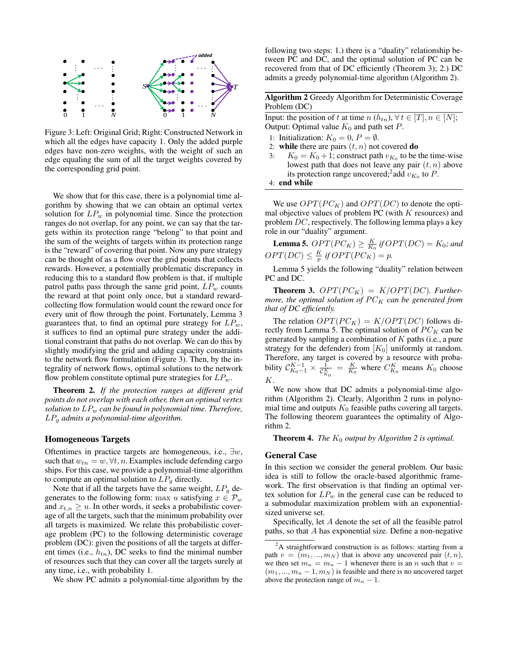

Figure 3: Left: Original Grid; Right: Constructed Network in which all the edges have capacity 1. Only the added purple edges have non-zero weights, with the weight of such an edge equaling the sum of all the target weights covered by the corresponding grid point.

We show that for this case, there is a polynomial time algorithm by showing that we can obtain an optimal vertex solution for  $LP_w$  in polynomial time. Since the protection ranges do not overlap, for any point, we can say that the targets within its protection range "belong" to that point and the sum of the weights of targets within its protection range is the "reward" of covering that point. Now any pure strategy can be thought of as a flow over the grid points that collects rewards. However, a potentially problematic discrepancy in reducing this to a standard flow problem is that, if multiple patrol paths pass through the same grid point,  $LP_w$  counts the reward at that point only once, but a standard rewardcollecting flow formulation would count the reward once for every unit of flow through the point. Fortunately, Lemma 3 guarantees that, to find an optimal pure strategy for  $LP_w$ , it suffices to find an optimal pure strategy under the additional constraint that paths do not overlap. We can do this by slightly modifying the grid and adding capacity constraints to the network flow formulation (Figure 3). Then, by the integrality of network flows, optimal solutions to the network flow problem constitute optimal pure strategies for  $LP_w$ .

Theorem 2. *If the protection ranges at different grid points do not overlap with each other, then an optimal vertex solution to*  $LP_w$  *can be found in polynomial time. Therefore,* LP<sup>g</sup> *admits a polynomial-time algorithm.*

## Homogeneous Targets

Oftentimes in practice targets are homogeneous, i.e., ∃w, such that  $w_{tn} = w, \forall t, n$ . Examples include defending cargo ships. For this case, we provide a polynomial-time algorithm to compute an optimal solution to  $LP<sub>q</sub>$  directly.

Note that if all the targets have the same weight,  $LP<sub>q</sub>$  degenerates to the following form: max u satisfying  $x \in \mathcal{P}_w$ and  $x_{t,n} \geq u$ . In other words, it seeks a probabilistic coverage of all the targets, such that the minimum probability over all targets is maximized. We relate this probabilistic coverage problem (PC) to the following deterministic coverage problem (DC): given the positions of all the targets at different times (i.e.,  $h_{tn}$ ), DC seeks to find the minimal number of resources such that they can cover all the targets surely at any time, i.e., with probability 1.

We show PC admits a polynomial-time algorithm by the

following two steps: 1.) there is a "duality" relationship between PC and DC, and the optimal solution of PC can be recovered from that of DC efficiently (Theorem 3); 2.) DC admits a greedy polynomial-time algorithm (Algorithm 2).

Algorithm 2 Greedy Algorithm for Deterministic Coverage Problem (DC)

Input: the position of t at time  $n(h_{tn}), \forall t \in [T], n \in [N]$ ; Output: Optimal value  $K_0$  and path set P.

- 1: Initialization:  $K_0 = 0, P = \emptyset$ .
- 2: while there are pairs  $(t, n)$  not covered do
- 3:  $K_0 = K_0 + 1$ ; construct path  $v_{K_0}$  to be the time-wise lowest path that does not leave any pair  $(t, n)$  above its protection range uncovered;<sup>2</sup> add  $v_{K_0}$  to P.

4: end while

We use  $OPT(P C_K)$  and  $OPT(D C)$  to denote the optimal objective values of problem PC (with  $K$  resources) and problem DC, respectively. The following lemma plays a key role in our "duality" argument.

**Lemma 5.**  $OPT(PC_K) \geq \frac{K}{K_0}$  if  $OPT(DC) = K_0$ ; and  $OPT(DC) \leq \frac{K}{p}$  if  $OPT(PC_K) = p$ .

Lemma 5 yields the following "duality" relation between PC and DC.

**Theorem 3.**  $OPT(PC_K) = K/OPT(DC)$ . Further*more, the optimal solution of*  $PC_K$  *can be generated from that of DC efficiently.*

The relation  $OPT(P C_K) = K/OPT(DC)$  follows directly from Lemma 5. The optimal solution of  $PC_K$  can be generated by sampling a combination of  $K$  paths (i.e., a pure strategy for the defender) from  $[K_0]$  uniformly at random. Therefore, any target is covered by a resource with probability  $\mathcal{C}_{K_0-1}^{K-1} \times \frac{1}{\mathcal{C}_{K_0}^K} = \frac{K}{K_0}$  where  $C_{K_0}^K$  means  $K_0$  choose K.

We now show that DC admits a polynomial-time algorithm (Algorithm 2). Clearly, Algorithm 2 runs in polynomial time and outputs  $K_0$  feasible paths covering all targets. The following theorem guarantees the optimality of Algorithm 2.

**Theorem 4.** *The*  $K_0$  *output by Algorithm 2 is optimal.* 

#### General Case

In this section we consider the general problem. Our basic idea is still to follow the oracle-based algorithmic framework. The first observation is that finding an optimal vertex solution for  $LP_w$  in the general case can be reduced to a submodular maximization problem with an exponentialsized universe set.

Specifically, let A denote the set of all the feasible patrol paths, so that A has exponential size. Define a non-negative

<sup>&</sup>lt;sup>2</sup>A straightforward construction is as follows: starting from a path  $v = (m_1, ..., m_N)$  that is above any uncovered pair  $(t, n)$ , we then set  $m_n = m_n - 1$  whenever there is an n such that  $v =$  $(m_1, ..., m_n - 1, m_N)$  is feasible and there is no uncovered target above the protection range of  $m_n - 1$ .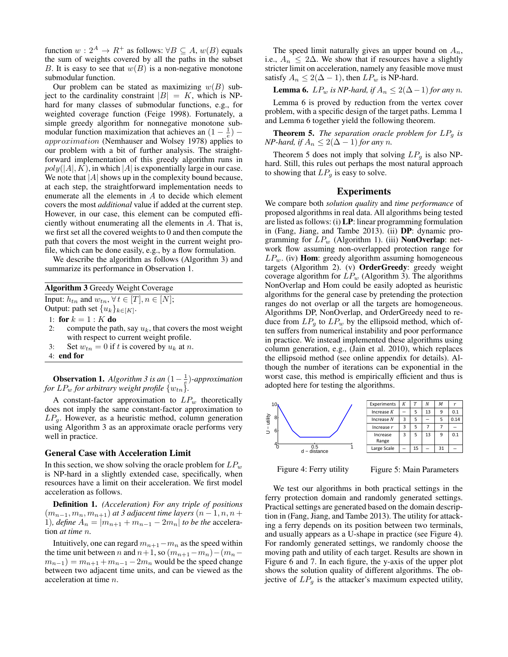function  $w: 2^A \to R^+$  as follows:  $\forall B \subseteq A$ ,  $w(B)$  equals the sum of weights covered by all the paths in the subset B. It is easy to see that  $w(B)$  is a non-negative monotone submodular function.

Our problem can be stated as maximizing  $w(B)$  subject to the cardinality constraint  $|B| = K$ , which is NPhard for many classes of submodular functions, e.g., for weighted coverage function (Feige 1998). Fortunately, a simple greedy algorithm for nonnegative monotone submodular function maximization that achieves an  $(1 - \frac{1}{e})$  – approximation (Nemhauser and Wolsey 1978) applies to our problem with a bit of further analysis. The straightforward implementation of this greedy algorithm runs in  $poly(|A|, K)$ , in which |A| is exponentially large in our case. We note that  $|A|$  shows up in the complexity bound because, at each step, the straightforward implementation needs to enumerate all the elements in A to decide which element covers the most *additional* value if added at the current step. However, in our case, this element can be computed efficiently without enumerating all the elements in A. That is, we first set all the covered weights to 0 and then compute the path that covers the most weight in the current weight profile, which can be done easily, e.g., by a flow formulation.

We describe the algorithm as follows (Algorithm 3) and summarize its performance in Observation 1.

Algorithm 3 Greedy Weight Coverage

Input:  $h_{tn}$  and  $w_{tn}$ ,  $\forall t \in [T], n \in [N]$ ;

Output: path set  $\{u_k\}_{k\in[K]}$ .

1: for  $k = 1 : K$  do

- 2: compute the path, say  $u_k$ , that covers the most weight with respect to current weight profile.
- 3: Set  $w_{tn} = 0$  if t is covered by  $u_k$  at n.

4: end for

**Observation 1.** *Algorithm 3 is an*  $(1 - \frac{1}{e})$ *-approximation for*  $LP_w$  *for arbitrary weight profile*  $\{w_{tn}\}.$ 

A constant-factor approximation to  $LP_w$  theoretically does not imply the same constant-factor approximation to  $LP<sub>g</sub>$ . However, as a heuristic method, column generation using Algorithm 3 as an approximate oracle performs very well in practice.

#### General Case with Acceleration Limit

In this section, we show solving the oracle problem for  $LP_w$ is NP-hard in a slightly extended case, specifically, when resources have a limit on their acceleration. We first model acceleration as follows.

Definition 1. *(Acceleration) For any triple of positions*  $(m_{n-1}, m_n, m_{n+1})$  *at 3 adjacent time layers*  $(n-1, n, n+1)$ 1)*, define*  $A_n = |m_{n+1} + m_{n-1} - 2m_n|$  *to be the* acceleration *at time* n*.*

Intuitively, one can regard  $m_{n+1}-m_n$  as the speed within the time unit between n and  $n+1$ , so  $(m_{n+1}-m_n)-(m_n$  $m_{n-1}$ ) =  $m_{n+1}$  +  $m_{n-1}$  –  $2m_n$  would be the speed change between two adjacent time units, and can be viewed as the acceleration at time n.

The speed limit naturally gives an upper bound on  $A_n$ , i.e.,  $A_n \leq 2\Delta$ . We show that if resources have a slightly stricter limit on acceleration, namely any feasible move must satisfy  $A_n \leq 2(\Delta - 1)$ , then  $LP_w$  is NP-hard.

**Lemma 6.**  $LP_w$  *is NP-hard, if*  $A_n ≤ 2(Δ-1)$  *for any n*.

Lemma 6 is proved by reduction from the vertex cover problem, with a specific design of the target paths. Lemma 1 and Lemma 6 together yield the following theorem.

**Theorem 5.** *The separation oracle problem for*  $LP<sub>a</sub>$  *is NP-hard, if*  $A_n \leq 2(\Delta - 1)$  *for any n*.

Theorem 5 does not imply that solving  $LP<sub>q</sub>$  is also NPhard. Still, this rules out perhaps the most natural approach to showing that  $LP<sub>g</sub>$  is easy to solve.

### Experiments

We compare both *solution quality* and *time performance* of proposed algorithms in real data. All algorithms being tested are listed as follows: (i) LP: linear programming formulation in (Fang, Jiang, and Tambe 2013). (ii) DP: dynamic programming for  $LP_w$  (Algorithm 1). (iii) **NonOverlap**: network flow assuming non-overlapped protection range for  $LP_w$ . (iv) **Hom**: greedy algorithm assuming homogeneous targets (Algorithm 2). (v) OrderGreedy: greedy weight coverage algorithm for  $LP_w$  (Algorithm 3). The algorithms NonOverlap and Hom could be easily adopted as heuristic algorithms for the general case by pretending the protection ranges do not overlap or all the targets are homogeneous. Algorithms DP, NonOverlap, and OrderGreedy need to reduce from  $LP_q$  to  $LP_w$  by the ellipsoid method, which often suffers from numerical instability and poor performance in practice. We instead implemented these algorithms using column generation, e.g., (Jain et al. 2010), which replaces the ellipsoid method (see online appendix for details). Although the number of iterations can be exponential in the worst case, this method is empirically efficient and thus is adopted here for testing the algorithms.



Figure 4: Ferry utility

Figure 5: Main Parameters

We test our algorithms in both practical settings in the ferry protection domain and randomly generated settings. Practical settings are generated based on the domain description in (Fang, Jiang, and Tambe 2013). The utility for attacking a ferry depends on its position between two terminals, and usually appears as a U-shape in practice (see Figure 4). For randomly generated settings, we randomly choose the moving path and utility of each target. Results are shown in Figure 6 and 7. In each figure, the y-axis of the upper plot shows the solution quality of different algorithms. The objective of  $LP<sub>g</sub>$  is the attacker's maximum expected utility,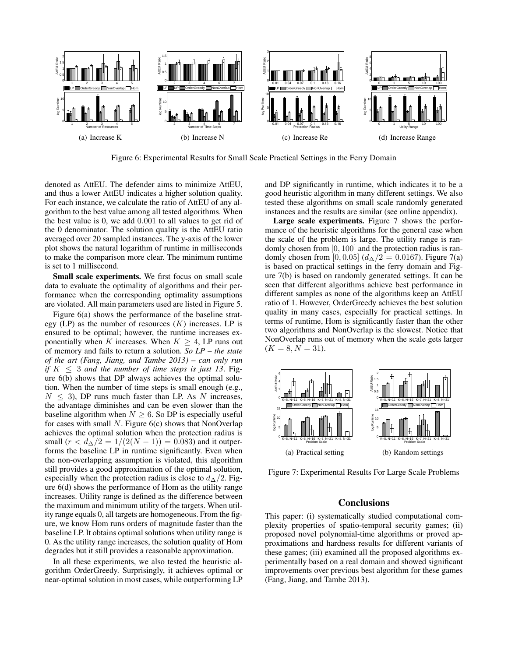

Figure 6: Experimental Results for Small Scale Practical Settings in the Ferry Domain

denoted as AttEU. The defender aims to minimize AttEU, and thus a lower AttEU indicates a higher solution quality. For each instance, we calculate the ratio of AttEU of any algorithm to the best value among all tested algorithms. When the best value is 0, we add 0.001 to all values to get rid of the 0 denominator. The solution quality is the AttEU ratio averaged over 20 sampled instances. The y-axis of the lower plot shows the natural logarithm of runtime in milliseconds to make the comparison more clear. The minimum runtime is set to 1 millisecond.

Small scale experiments. We first focus on small scale data to evaluate the optimality of algorithms and their performance when the corresponding optimality assumptions are violated. All main parameters used are listed in Figure 5.

Figure 6(a) shows the performance of the baseline strategy (LP) as the number of resources  $(K)$  increases. LP is ensured to be optimal; however, the runtime increases exponentially when K increases. When  $K \geq 4$ , LP runs out of memory and fails to return a solution. *So LP – the state of the art (Fang, Jiang, and Tambe 2013) – can only run if*  $K \leq 3$  *and the number of time steps is just 13.* Figure 6(b) shows that DP always achieves the optimal solution. When the number of time steps is small enough (e.g.,  $N \leq 3$ ), DP runs much faster than LP. As N increases, the advantage diminishes and can be even slower than the baseline algorithm when  $N \geq 6$ . So DP is especially useful for cases with small  $N$ . Figure 6(c) shows that NonOverlap achieves the optimal solution when the protection radius is small  $(r < d<sub>\Delta</sub>/2 = 1/(2(N-1)) = 0.083)$  and it outperforms the baseline LP in runtime significantly. Even when the non-overlapping assumption is violated, this algorithm still provides a good approximation of the optimal solution, especially when the protection radius is close to  $d_{\Delta}/2$ . Figure 6(d) shows the performance of Hom as the utility range increases. Utility range is defined as the difference between the maximum and minimum utility of the targets. When utility range equals 0, all targets are homogeneous. From the figure, we know Hom runs orders of magnitude faster than the baseline LP. It obtains optimal solutions when utility range is 0. As the utility range increases, the solution quality of Hom degrades but it still provides a reasonable approximation.

In all these experiments, we also tested the heuristic algorithm OrderGreedy. Surprisingly, it achieves optimal or near-optimal solution in most cases, while outperforming LP

and DP significantly in runtime, which indicates it to be a good heuristic algorithm in many different settings. We also tested these algorithms on small scale randomly generated instances and the results are similar (see online appendix).

Large scale experiments. Figure 7 shows the performance of the heuristic algorithms for the general case when the scale of the problem is large. The utility range is randomly chosen from [0, 100] and the protection radius is randomly chosen from [0, 0.05]  $(d<sub>\Delta</sub>/2 = 0.0167)$ . Figure 7(a) is based on practical settings in the ferry domain and Figure 7(b) is based on randomly generated settings. It can be seen that different algorithms achieve best performance in different samples as none of the algorithms keep an AttEU ratio of 1. However, OrderGreedy achieves the best solution quality in many cases, especially for practical settings. In terms of runtime, Hom is significantly faster than the other two algorithms and NonOverlap is the slowest. Notice that NonOverlap runs out of memory when the scale gets larger  $(K = 8, N = 31).$ 



Figure 7: Experimental Results For Large Scale Problems

# **Conclusions**

This paper: (i) systematically studied computational complexity properties of spatio-temporal security games; (ii) proposed novel polynomial-time algorithms or proved approximations and hardness results for different variants of these games; (iii) examined all the proposed algorithms experimentally based on a real domain and showed significant improvements over previous best algorithm for these games (Fang, Jiang, and Tambe 2013).